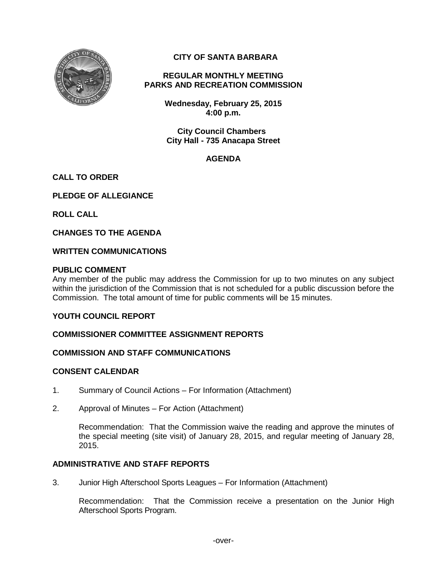

# **CITY OF SANTA BARBARA**

#### **REGULAR MONTHLY MEETING PARKS AND RECREATION COMMISSION**

**Wednesday, February 25, 2015 4:00 p.m.** 

**City Council Chambers City Hall - 735 Anacapa Street**

# **AGENDA**

## **CALL TO ORDER**

**PLEDGE OF ALLEGIANCE**

**ROLL CALL**

**CHANGES TO THE AGENDA**

#### **WRITTEN COMMUNICATIONS**

## **PUBLIC COMMENT**

Any member of the public may address the Commission for up to two minutes on any subject within the jurisdiction of the Commission that is not scheduled for a public discussion before the Commission. The total amount of time for public comments will be 15 minutes.

# **YOUTH COUNCIL REPORT**

## **COMMISSIONER COMMITTEE ASSIGNMENT REPORTS**

## **COMMISSION AND STAFF COMMUNICATIONS**

## **CONSENT CALENDAR**

- 1. Summary of Council Actions For Information (Attachment)
- 2. Approval of Minutes For Action (Attachment)

Recommendation: That the Commission waive the reading and approve the minutes of the special meeting (site visit) of January 28, 2015, and regular meeting of January 28, 2015.

# **ADMINISTRATIVE AND STAFF REPORTS**

3. Junior High Afterschool Sports Leagues – For Information (Attachment)

Recommendation: That the Commission receive a presentation on the Junior High Afterschool Sports Program.